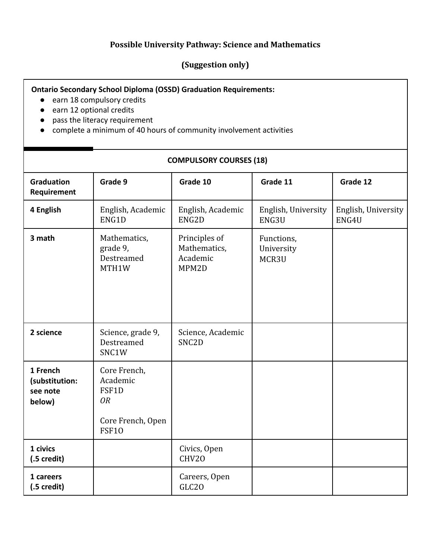## **Possible University Pathway: Science and Mathematics**

## **(Suggestion only)**

## **Ontario Secondary School Diploma (OSSD) Graduation Requirements:**

- earn 18 compulsory credits
- earn 12 optional credits
- pass the literacy requirement
- complete a minimum of 40 hours of community involvement activities

## **COMPULSORY COURSES (18)**

| <b>Graduation</b><br>Requirement                 | Grade 9                                                                             | Grade 10                                           | Grade 11                          | Grade 12                     |
|--------------------------------------------------|-------------------------------------------------------------------------------------|----------------------------------------------------|-----------------------------------|------------------------------|
| 4 English                                        | English, Academic<br>ENG1D                                                          | English, Academic<br>ENG2D                         | English, University<br>ENG3U      | English, University<br>ENG4U |
| 3 math                                           | Mathematics,<br>grade 9,<br>Destreamed<br>MTH1W                                     | Principles of<br>Mathematics,<br>Academic<br>MPM2D | Functions,<br>University<br>MCR3U |                              |
| 2 science                                        | Science, grade 9,<br>Destreamed<br>SNC1W                                            | Science, Academic<br>SNC <sub>2</sub> D            |                                   |                              |
| 1 French<br>(substitution:<br>see note<br>below) | Core French,<br>Academic<br>FSF1D<br><b>OR</b><br>Core French, Open<br><b>FSF10</b> |                                                    |                                   |                              |
| 1 civics<br>$(.5 \,\text{credit})$               |                                                                                     | Civics, Open<br>CHV20                              |                                   |                              |
| 1 careers<br>$(.5 \,\text{credit})$              |                                                                                     | Careers, Open<br>GLC <sub>20</sub>                 |                                   |                              |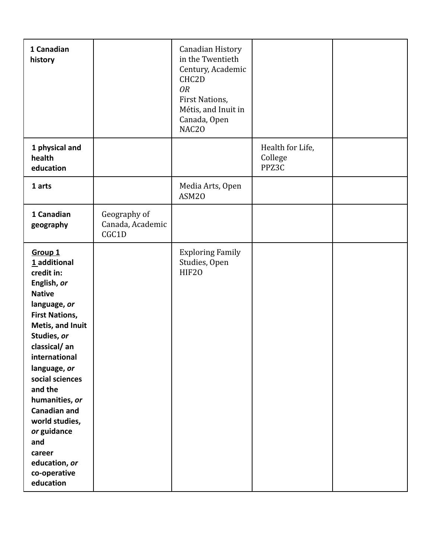| 1 Canadian<br>history                                                                                                                                                                                                                                                                                                                                                                |                                           | Canadian History<br>in the Twentieth<br>Century, Academic<br>CHC2D<br><b>OR</b><br>First Nations,<br>Métis, and Inuit in<br>Canada, Open<br>NAC20 |                                      |  |
|--------------------------------------------------------------------------------------------------------------------------------------------------------------------------------------------------------------------------------------------------------------------------------------------------------------------------------------------------------------------------------------|-------------------------------------------|---------------------------------------------------------------------------------------------------------------------------------------------------|--------------------------------------|--|
| 1 physical and<br>health<br>education                                                                                                                                                                                                                                                                                                                                                |                                           |                                                                                                                                                   | Health for Life,<br>College<br>PPZ3C |  |
| 1 arts                                                                                                                                                                                                                                                                                                                                                                               |                                           | Media Arts, Open<br>ASM20                                                                                                                         |                                      |  |
| 1 Canadian<br>geography                                                                                                                                                                                                                                                                                                                                                              | Geography of<br>Canada, Academic<br>CGC1D |                                                                                                                                                   |                                      |  |
| Group <sub>1</sub><br>1 additional<br>credit in:<br>English, or<br><b>Native</b><br>language, or<br><b>First Nations,</b><br>Metis, and Inuit<br>Studies, or<br>classical/an<br>international<br>language, or<br>social sciences<br>and the<br>humanities, or<br><b>Canadian and</b><br>world studies,<br>or guidance<br>and<br>career<br>education, or<br>co-operative<br>education |                                           | <b>Exploring Family</b><br>Studies, Open<br>HIF20                                                                                                 |                                      |  |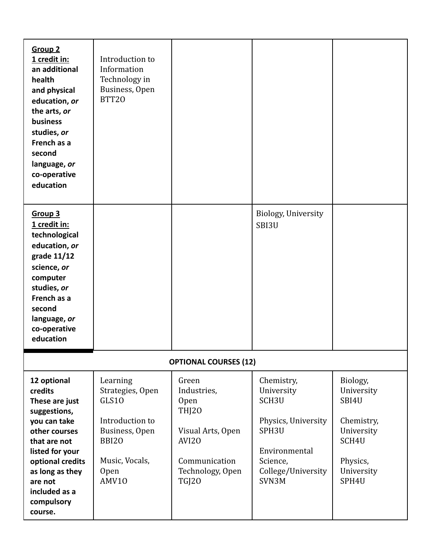| <b>Group 2</b><br>1 credit in:<br>an additional<br>health<br>and physical<br>education, or<br>the arts, or<br>business<br>studies, or<br>French as a<br>second<br>language, or<br>co-operative<br>education              | Introduction to<br>Information<br>Technology in<br>Business, Open<br>BTT20                                                           |                                                                                                                                 |                                                                                                                                                       |                                                                                                         |
|--------------------------------------------------------------------------------------------------------------------------------------------------------------------------------------------------------------------------|--------------------------------------------------------------------------------------------------------------------------------------|---------------------------------------------------------------------------------------------------------------------------------|-------------------------------------------------------------------------------------------------------------------------------------------------------|---------------------------------------------------------------------------------------------------------|
| Group <sub>3</sub><br>1 credit in:<br>technological<br>education, or<br>grade 11/12<br>science, or<br>computer<br>studies, or<br>French as a<br>second<br>language, or<br>co-operative<br>education                      |                                                                                                                                      |                                                                                                                                 | Biology, University<br>SBI3U                                                                                                                          |                                                                                                         |
|                                                                                                                                                                                                                          |                                                                                                                                      | <b>OPTIONAL COURSES (12)</b>                                                                                                    |                                                                                                                                                       |                                                                                                         |
| 12 optional<br>credits<br>These are just<br>suggestions,<br>you can take<br>other courses<br>that are not<br>listed for your<br>optional credits<br>as long as they<br>are not<br>included as a<br>compulsory<br>course. | Learning<br>Strategies, Open<br>GLS10<br>Introduction to<br>Business, Open<br><b>BBI20</b><br>Music, Vocals,<br><b>Open</b><br>AMV10 | Green<br>Industries,<br>Open<br><b>THI20</b><br>Visual Arts, Open<br>AVI20<br>Communication<br>Technology, Open<br><b>TGJ20</b> | Chemistry,<br>University<br>SCH <sub>3U</sub><br>Physics, University<br>SPH <sub>3U</sub><br>Environmental<br>Science,<br>College/University<br>SVN3M | Biology,<br>University<br>SBI4U<br>Chemistry,<br>University<br>SCH4U<br>Physics,<br>University<br>SPH4U |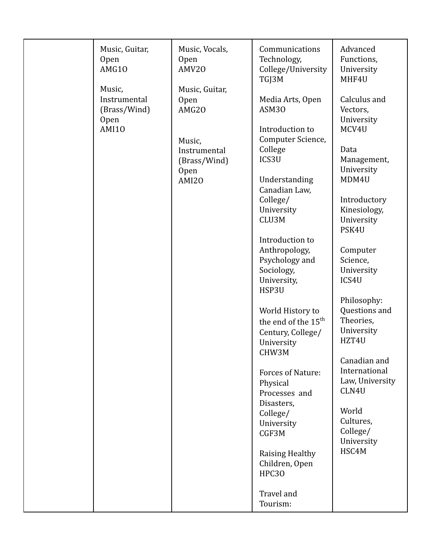| Music,<br>Music, Guitar,<br>Instrumental<br>Media Arts, Open<br>Open<br>ASM30<br>(Brass/Wind)<br>AMG20<br><b>Open</b><br><b>AMI10</b><br>Introduction to<br>Computer Science,<br>Music,<br>College<br>Data<br>Instrumental<br>ICS3U<br>(Brass/Wind)<br><b>Open</b><br>Understanding<br><b>AMI20</b><br>Canadian Law,<br>College/<br>University<br>CLU3M<br>PSK4U<br>Introduction to<br>Anthropology,<br>Psychology and<br>Sociology,<br>University,<br>ICS4U<br>HSP3U<br>World History to<br>the end of the 15 <sup>th</sup><br>Century, College/<br>HZT4U<br>University<br>CHW3M<br><b>Forces of Nature:</b><br>Physical<br>CLN4U<br>Processes and<br>Disasters,<br>World<br>College/<br>University<br>CGF3M<br>HSC4M<br>Raising Healthy<br>Children, Open<br><b>HPC30</b> | Music, Guitar,<br><b>Open</b><br>AMG10 | Music, Vocals,<br>Open<br>AMV20 | Communications<br>Technology,<br>College/University | Advanced<br>Functions,<br>University                                                                                                                                                                                                                                                                                                     |
|-----------------------------------------------------------------------------------------------------------------------------------------------------------------------------------------------------------------------------------------------------------------------------------------------------------------------------------------------------------------------------------------------------------------------------------------------------------------------------------------------------------------------------------------------------------------------------------------------------------------------------------------------------------------------------------------------------------------------------------------------------------------------------|----------------------------------------|---------------------------------|-----------------------------------------------------|------------------------------------------------------------------------------------------------------------------------------------------------------------------------------------------------------------------------------------------------------------------------------------------------------------------------------------------|
|                                                                                                                                                                                                                                                                                                                                                                                                                                                                                                                                                                                                                                                                                                                                                                             |                                        |                                 | TGJ3M                                               | MHF4U<br>Calculus and<br>Vectors,<br>University<br>MCV4U<br>Management,<br>University<br>MDM4U<br>Introductory<br>Kinesiology,<br>University<br>Computer<br>Science,<br>University<br>Philosophy:<br>Questions and<br>Theories,<br>University<br>Canadian and<br>International<br>Law, University<br>Cultures,<br>College/<br>University |
| Travel and<br>Tourism:                                                                                                                                                                                                                                                                                                                                                                                                                                                                                                                                                                                                                                                                                                                                                      |                                        |                                 |                                                     |                                                                                                                                                                                                                                                                                                                                          |